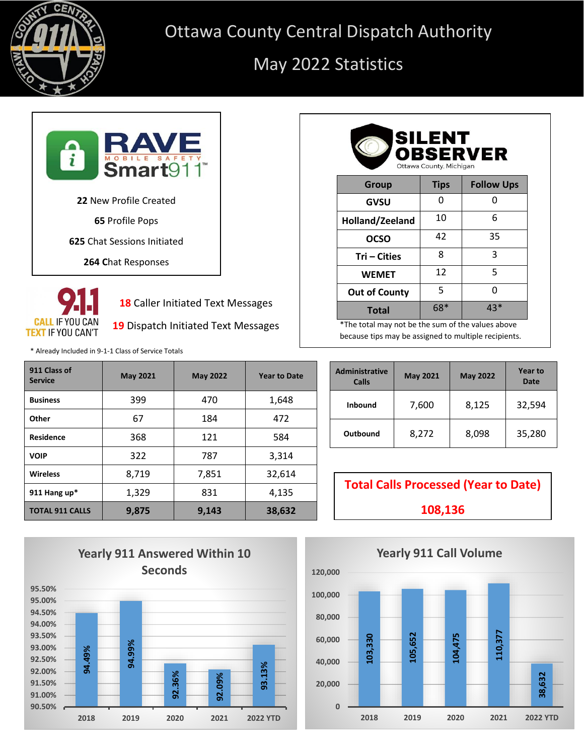

## Ottawa County Central Dispatch Authority

## May 2022 Statistics





**18** Caller Initiated Text Messages

**19** Dispatch Initiated Text Messages

\* Already Included in 9-1-1 Class of Service Totals

| 911 Class of<br><b>Service</b> | <b>May 2021</b> | <b>May 2022</b> | <b>Year to Date</b> |
|--------------------------------|-----------------|-----------------|---------------------|
| <b>Business</b>                | 399             | 470             | 1,648               |
| Other                          | 67              | 184             | 472                 |
| <b>Residence</b>               | 368             | 121             | 584                 |
| <b>VOIP</b>                    | 322             | 787             | 3,314               |
| <b>Wireless</b>                | 8,719           | 7,851           | 32,614              |
| 911 Hang up*                   | 1,329           | 831             | 4,135               |
| <b>TOTAL 911 CALLS</b>         | 9,875           | 9,143           | 38,632              |

| <b>SILENT</b><br><b>OBSERVER</b><br>Ottawa County, Michigan |             |                   |  |
|-------------------------------------------------------------|-------------|-------------------|--|
| <b>Group</b>                                                | <b>Tips</b> | <b>Follow Ups</b> |  |
| GVSU                                                        | n           | n                 |  |
| Holland/Zeeland                                             | 10          | 6                 |  |
| <b>OCSO</b>                                                 | 42          | 35                |  |
| Tri – Cities                                                | 8           | 3                 |  |
| <b>WEMET</b>                                                | 12          | 5                 |  |
| <b>Out of County</b>                                        | 5           | n                 |  |
| <b>Total</b>                                                | 68*         | 43*               |  |

\*The total may not be the sum of the values above because tips may be assigned to multiple recipients.

| <b>Administrative</b><br>Calls | <b>May 2021</b> | <b>May 2022</b> | <b>Year to</b><br>Date |
|--------------------------------|-----------------|-----------------|------------------------|
| <b>Inbound</b>                 | 7,600           | 8,125           | 32,594                 |
| Outbound                       | 8,272           | 8,098           | 35,280                 |



**Total Calls Processed (Year to Date) 108,136**